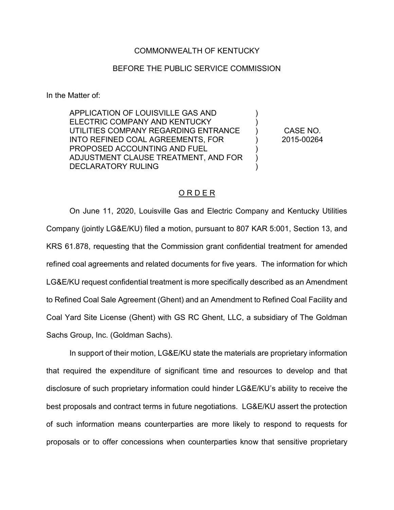## COMMONWEALTH OF KENTUCKY

## BEFORE THE PUBLIC SERVICE COMMISSION

In the Matter of:

APPLICATION OF LOUISVILLE GAS AND ELECTRIC COMPANY AND KENTUCKY UTILITIES COMPANY REGARDING ENTRANCE INTO REFINED COAL AGREEMENTS, FOR PROPOSED ACCOUNTING AND FUEL ADJUSTMENT CLAUSE TREATMENT, AND FOR DECLARATORY RULING

CASE NO. 2015-00264

) ) ) ) ) ) )

## O R D E R

On June 11, 2020, Louisville Gas and Electric Company and Kentucky Utilities Company (jointly LG&E/KU) filed a motion, pursuant to 807 KAR 5:001, Section 13, and KRS 61.878, requesting that the Commission grant confidential treatment for amended refined coal agreements and related documents for five years. The information for which LG&E/KU request confidential treatment is more specifically described as an Amendment to Refined Coal Sale Agreement (Ghent) and an Amendment to Refined Coal Facility and Coal Yard Site License (Ghent) with GS RC Ghent, LLC, a subsidiary of The Goldman Sachs Group, Inc. (Goldman Sachs).

In support of their motion, LG&E/KU state the materials are proprietary information that required the expenditure of significant time and resources to develop and that disclosure of such proprietary information could hinder LG&E/KU's ability to receive the best proposals and contract terms in future negotiations. LG&E/KU assert the protection of such information means counterparties are more likely to respond to requests for proposals or to offer concessions when counterparties know that sensitive proprietary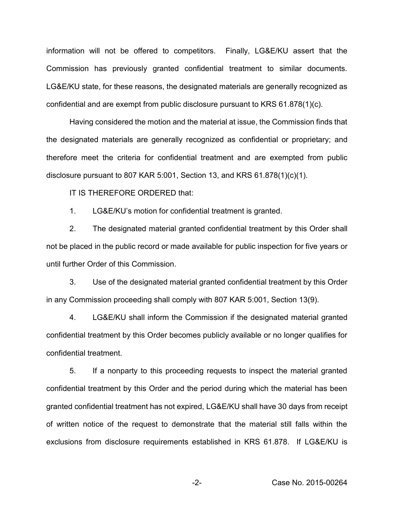information will not be offered to competitors. Finally, LG&E/KU assert that the Commission has previously granted confidential treatment to similar documents. LG&E/KU state, for these reasons, the designated materials are generally recognized as confidential and are exempt from public disclosure pursuant to KRS 61.878(1)(c).

Having considered the motion and the material at issue, the Commission finds that the designated materials are generally recognized as confidential or proprietary; and therefore meet the criteria for confidential treatment and are exempted from public disclosure pursuant to 807 KAR 5:001, Section 13, and KRS 61.878(1)(c)(1).

IT IS THEREFORE ORDERED that:

1. LG&E/KU's motion for confidential treatment is granted.

2. The designated material granted confidential treatment by this Order shall not be placed in the public record or made available for public inspection for five years or until further Order of this Commission.

3. Use of the designated material granted confidential treatment by this Order in any Commission proceeding shall comply with 807 KAR 5:001, Section 13(9).

4. LG&E/KU shall inform the Commission if the designated material granted confidential treatment by this Order becomes publicly available or no longer qualifies for confidential treatment.

5. If a nonparty to this proceeding requests to inspect the material granted confidential treatment by this Order and the period during which the material has been granted confidential treatment has not expired, LG&E/KU shall have 30 days from receipt of written notice of the request to demonstrate that the material still falls within the exclusions from disclosure requirements established in KRS 61.878. If LG&E/KU is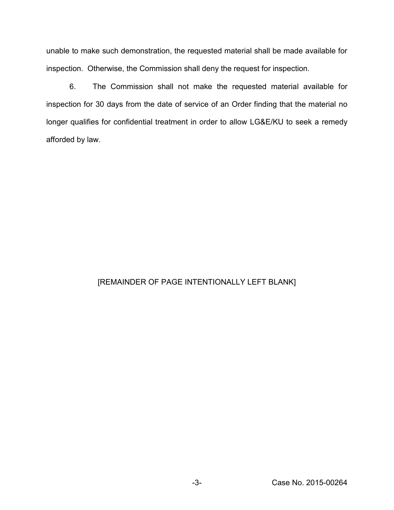unable to make such demonstration, the requested material shall be made available for inspection. Otherwise, the Commission shall deny the request for inspection.

6. The Commission shall not make the requested material available for inspection for 30 days from the date of service of an Order finding that the material no longer qualifies for confidential treatment in order to allow LG&E/KU to seek a remedy afforded by law.

## [REMAINDER OF PAGE INTENTIONALLY LEFT BLANK]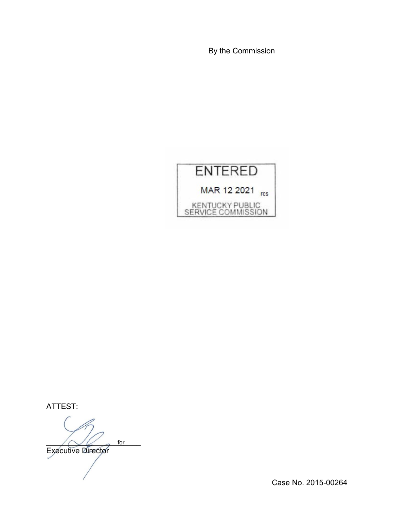By the Commission



ATTEST:

 $\bigwedge \bigvee \bigvee$  for Executive Director for

Case No. 2015-00264